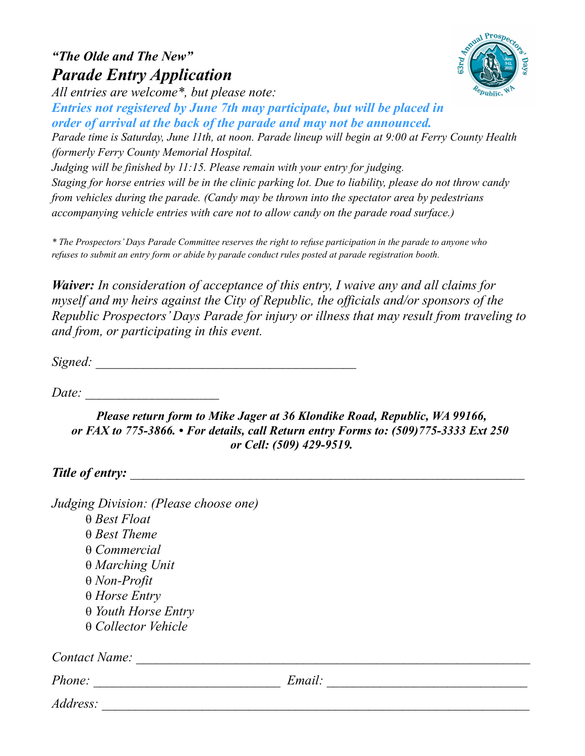## "The Olde and The New" Parade Entry Application



All entries are welcome\*, but please note:

Entries not registered by June 7th may participate, but will be placed in order of arrival at the back of the parade and may not be announced.

Parade time is Saturday, June 11th, at noon. Parade lineup will begin at 9:00 at Ferry County Health (formerly Ferry County Memorial Hospital.

Judging will be finished by 11:15. Please remain with your entry for judging. Staging for horse entries will be in the clinic parking lot. Due to liability, please do not throw candy from vehicles during the parade. (Candy may be thrown into the spectator area by pedestrians accompanying vehicle entries with care not to allow candy on the parade road surface.)

\* The Prospectors' Days Parade Committee reserves the right to refuse participation in the parade to anyone who refuses to submit an entry form or abide by parade conduct rules posted at parade registration booth.

Waiver: In consideration of acceptance of this entry, I waive any and all claims for myself and my heirs against the City of Republic, the officials and/or sponsors of the Republic Prospectors' Days Parade for injury or illness that may result from traveling to and from, or participating in this event.

Signed: \_\_\_\_\_\_\_\_\_\_\_\_\_\_\_\_\_\_\_\_\_\_\_\_\_\_\_\_\_\_\_\_\_\_\_\_\_\_\_

 $Date:$ 

Please return form to Mike Jager at 36 Klondike Road, Republic, WA 99166, or FAX to 775-3866. • For details, call Return entry Forms to: (509)775-3333 Ext 250 or Cell: (509) 429-9519.

## Title of entry:

| Judging Division: (Please choose one) |        |  |
|---------------------------------------|--------|--|
| $\theta$ Best Float                   |        |  |
| $\theta$ Best Theme                   |        |  |
| $\theta$ Commercial                   |        |  |
| $\theta$ Marching Unit                |        |  |
| $\theta$ Non-Profit                   |        |  |
| $\theta$ Horse Entry                  |        |  |
| $\theta$ Youth Horse Entry            |        |  |
| $\theta$ Collector Vehicle            |        |  |
| Contact Name:                         |        |  |
| <i>Phone:</i>                         | Email: |  |
| Address:                              |        |  |